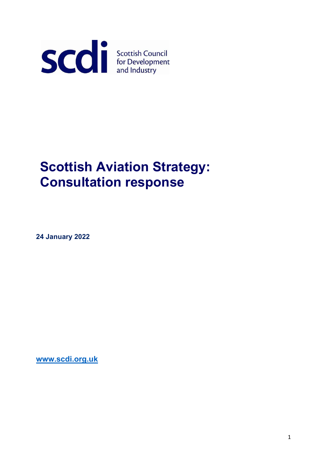

# Scottish Aviation Strategy: Consultation response

24 January 2022

www.scdi.org.uk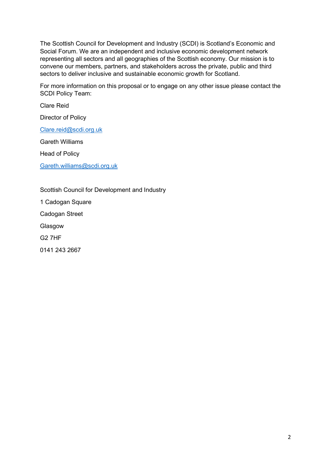The Scottish Council for Development and Industry (SCDI) is Scotland's Economic and Social Forum. We are an independent and inclusive economic development network representing all sectors and all geographies of the Scottish economy. Our mission is to convene our members, partners, and stakeholders across the private, public and third sectors to deliver inclusive and sustainable economic growth for Scotland.

For more information on this proposal or to engage on any other issue please contact the SCDI Policy Team:

Clare Reid

Director of Policy

Clare.reid@scdi.org.uk

Gareth Williams

Head of Policy

Gareth.williams@scdi.org.uk

Scottish Council for Development and Industry

1 Cadogan Square

Cadogan Street

Glasgow

G2 7HF

0141 243 2667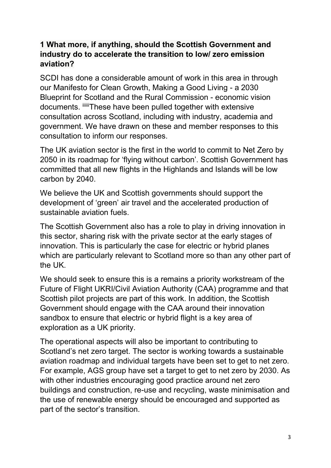#### 1 What more, if anything, should the Scottish Government and industry do to accelerate the transition to low/ zero emission aviation?

SCDI has done a considerable amount of work in this area in through our Manifesto for Clean Growth, Making a Good Living - a 2030 Blueprint for Scotland and the Rural Commission - economic vision documents. iiiiiiThese have been pulled together with extensive consultation across Scotland, including with industry, academia and government. We have drawn on these and member responses to this consultation to inform our responses.

The UK aviation sector is the first in the world to commit to Net Zero by 2050 in its roadmap for 'flying without carbon'. Scottish Government has committed that all new flights in the Highlands and Islands will be low carbon by 2040.

We believe the UK and Scottish governments should support the development of 'green' air travel and the accelerated production of sustainable aviation fuels.

The Scottish Government also has a role to play in driving innovation in this sector, sharing risk with the private sector at the early stages of innovation. This is particularly the case for electric or hybrid planes which are particularly relevant to Scotland more so than any other part of the UK.

We should seek to ensure this is a remains a priority workstream of the Future of Flight UKRI/Civil Aviation Authority (CAA) programme and that Scottish pilot projects are part of this work. In addition, the Scottish Government should engage with the CAA around their innovation sandbox to ensure that electric or hybrid flight is a key area of exploration as a UK priority.

The operational aspects will also be important to contributing to Scotland's net zero target. The sector is working towards a sustainable aviation roadmap and individual targets have been set to get to net zero. For example, AGS group have set a target to get to net zero by 2030. As with other industries encouraging good practice around net zero buildings and construction, re-use and recycling, waste minimisation and the use of renewable energy should be encouraged and supported as part of the sector's transition.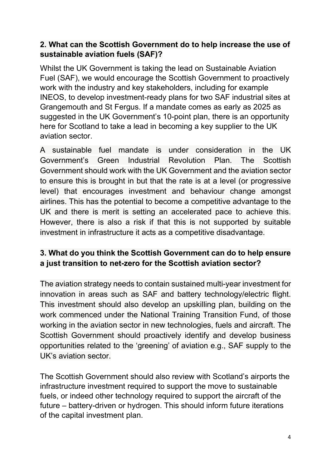#### 2. What can the Scottish Government do to help increase the use of sustainable aviation fuels (SAF)?

Whilst the UK Government is taking the lead on Sustainable Aviation Fuel (SAF), we would encourage the Scottish Government to proactively work with the industry and key stakeholders, including for example INEOS, to develop investment-ready plans for two SAF industrial sites at Grangemouth and St Fergus. If a mandate comes as early as 2025 as suggested in the UK Government's 10-point plan, there is an opportunity here for Scotland to take a lead in becoming a key supplier to the UK aviation sector.

A sustainable fuel mandate is under consideration in the UK Government's Green Industrial Revolution Plan. The Scottish Government should work with the UK Government and the aviation sector to ensure this is brought in but that the rate is at a level (or progressive level) that encourages investment and behaviour change amongst airlines. This has the potential to become a competitive advantage to the UK and there is merit is setting an accelerated pace to achieve this. However, there is also a risk if that this is not supported by suitable investment in infrastructure it acts as a competitive disadvantage.

## 3. What do you think the Scottish Government can do to help ensure a just transition to net-zero for the Scottish aviation sector?

The aviation strategy needs to contain sustained multi-year investment for innovation in areas such as SAF and battery technology/electric flight. This investment should also develop an upskilling plan, building on the work commenced under the National Training Transition Fund, of those working in the aviation sector in new technologies, fuels and aircraft. The Scottish Government should proactively identify and develop business opportunities related to the 'greening' of aviation e.g., SAF supply to the UK's aviation sector.

The Scottish Government should also review with Scotland's airports the infrastructure investment required to support the move to sustainable fuels, or indeed other technology required to support the aircraft of the future – battery-driven or hydrogen. This should inform future iterations of the capital investment plan.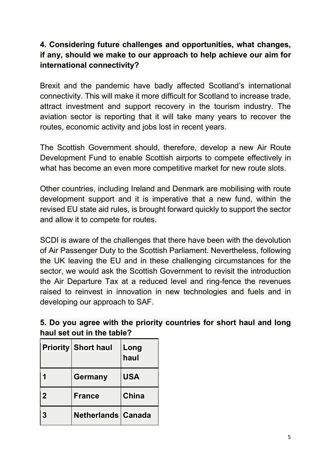## 4. Considering future challenges and opportunities, what changes, if any, should we make to our approach to help achieve our aim for international connectivity?

Brexit and the pandemic have badly affected Scotland's international connectivity. This will make it more difficult for Scotland to increase trade, attract investment and support recovery in the tourism industry. The aviation sector is reporting that it will take many years to recover the routes, economic activity and jobs lost in recent years.

The Scottish Government should, therefore, develop a new Air Route Development Fund to enable Scottish airports to compete effectively in what has become an even more competitive market for new route slots.

Other countries, including Ireland and Denmark are mobilising with route development support and it is imperative that a new fund, within the revised EU state aid rules, is brought forward quickly to support the sector and allow it to compete for routes.

SCDI is aware of the challenges that there have been with the devolution of Air Passenger Duty to the Scottish Parliament. Nevertheless, following the UK leaving the EU and in these challenging circumstances for the sector, we would ask the Scottish Government to revisit the introduction the Air Departure Tax at a reduced level and ring-fence the revenues raised to reinvest in innovation in new technologies and fuels and in developing our approach to SAF.

| 5. Do you agree with the priority countries for short haul and long |  |  |
|---------------------------------------------------------------------|--|--|
| haul set out in the table?                                          |  |  |

|                | <b>Priority Short haul</b> | Long<br>haul |
|----------------|----------------------------|--------------|
|                | <b>Germany</b>             | <b>USA</b>   |
| $\overline{2}$ | <b>France</b>              | <b>China</b> |
| 3              | <b>Netherlands Canada</b>  |              |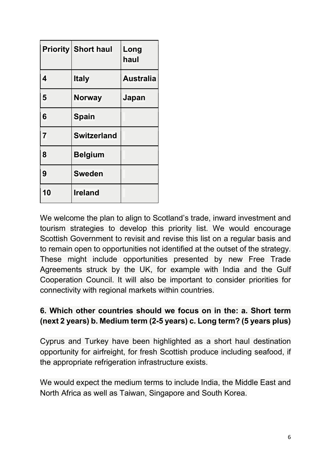|                | <b>Priority Short haul</b> | Long<br>haul     |
|----------------|----------------------------|------------------|
| 4              | <b>Italy</b>               | <b>Australia</b> |
| 5              | <b>Norway</b>              | Japan            |
| 6              | <b>Spain</b>               |                  |
| $\overline{7}$ | <b>Switzerland</b>         |                  |
| 8              | <b>Belgium</b>             |                  |
| 9              | <b>Sweden</b>              |                  |
| 10             | <b>Ireland</b>             |                  |

We welcome the plan to align to Scotland's trade, inward investment and tourism strategies to develop this priority list. We would encourage Scottish Government to revisit and revise this list on a regular basis and to remain open to opportunities not identified at the outset of the strategy. These might include opportunities presented by new Free Trade Agreements struck by the UK, for example with India and the Gulf Cooperation Council. It will also be important to consider priorities for connectivity with regional markets within countries.

## 6. Which other countries should we focus on in the: a. Short term (next 2 years) b. Medium term (2-5 years) c. Long term? (5 years plus)

Cyprus and Turkey have been highlighted as a short haul destination opportunity for airfreight, for fresh Scottish produce including seafood, if the appropriate refrigeration infrastructure exists.

We would expect the medium terms to include India, the Middle East and North Africa as well as Taiwan, Singapore and South Korea.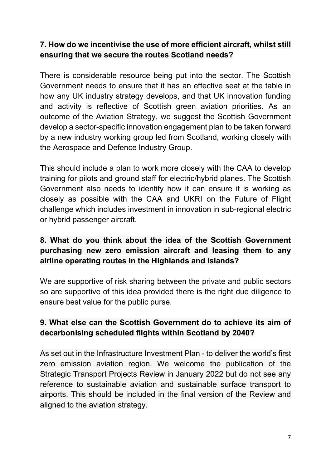#### 7. How do we incentivise the use of more efficient aircraft, whilst still ensuring that we secure the routes Scotland needs?

There is considerable resource being put into the sector. The Scottish Government needs to ensure that it has an effective seat at the table in how any UK industry strategy develops, and that UK innovation funding and activity is reflective of Scottish green aviation priorities. As an outcome of the Aviation Strategy, we suggest the Scottish Government develop a sector-specific innovation engagement plan to be taken forward by a new industry working group led from Scotland, working closely with the Aerospace and Defence Industry Group.

This should include a plan to work more closely with the CAA to develop training for pilots and ground staff for electric/hybrid planes. The Scottish Government also needs to identify how it can ensure it is working as closely as possible with the CAA and UKRI on the Future of Flight challenge which includes investment in innovation in sub-regional electric or hybrid passenger aircraft.

## 8. What do you think about the idea of the Scottish Government purchasing new zero emission aircraft and leasing them to any airline operating routes in the Highlands and Islands?

We are supportive of risk sharing between the private and public sectors so are supportive of this idea provided there is the right due diligence to ensure best value for the public purse.

#### 9. What else can the Scottish Government do to achieve its aim of decarbonising scheduled flights within Scotland by 2040?

As set out in the Infrastructure Investment Plan - to deliver the world's first zero emission aviation region. We welcome the publication of the Strategic Transport Projects Review in January 2022 but do not see any reference to sustainable aviation and sustainable surface transport to airports. This should be included in the final version of the Review and aligned to the aviation strategy.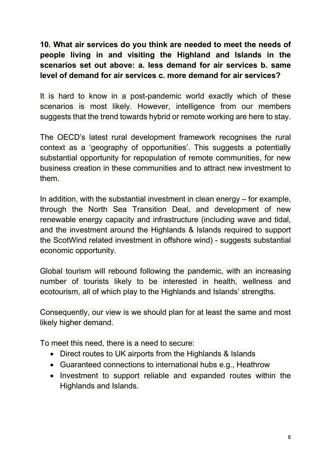10. What air services do you think are needed to meet the needs of people living in and visiting the Highland and Islands in the scenarios set out above: a. less demand for air services b. same level of demand for air services c. more demand for air services?

It is hard to know in a post-pandemic world exactly which of these scenarios is most likely. However, intelligence from our members suggests that the trend towards hybrid or remote working are here to stay.

The OECD's latest rural development framework recognises the rural context as a 'geography of opportunities'. This suggests a potentially substantial opportunity for repopulation of remote communities, for new business creation in these communities and to attract new investment to them.

In addition, with the substantial investment in clean energy – for example, through the North Sea Transition Deal, and development of new renewable energy capacity and infrastructure (including wave and tidal, and the investment around the Highlands & Islands required to support the ScotWind related investment in offshore wind) - suggests substantial economic opportunity.

Global tourism will rebound following the pandemic, with an increasing number of tourists likely to be interested in health, wellness and ecotourism, all of which play to the Highlands and Islands' strengths.

Consequently, our view is we should plan for at least the same and most likely higher demand.

To meet this need, there is a need to secure:

- Direct routes to UK airports from the Highlands & Islands
- Guaranteed connections to international hubs e.g., Heathrow
- Investment to support reliable and expanded routes within the Highlands and Islands.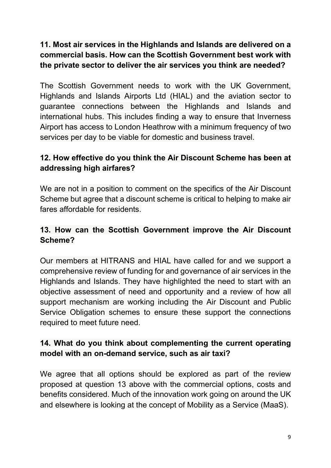## 11. Most air services in the Highlands and Islands are delivered on a commercial basis. How can the Scottish Government best work with the private sector to deliver the air services you think are needed?

The Scottish Government needs to work with the UK Government, Highlands and Islands Airports Ltd (HIAL) and the aviation sector to guarantee connections between the Highlands and Islands and international hubs. This includes finding a way to ensure that Inverness Airport has access to London Heathrow with a minimum frequency of two services per day to be viable for domestic and business travel.

#### 12. How effective do you think the Air Discount Scheme has been at addressing high airfares?

We are not in a position to comment on the specifics of the Air Discount Scheme but agree that a discount scheme is critical to helping to make air fares affordable for residents.

#### 13. How can the Scottish Government improve the Air Discount Scheme?

Our members at HITRANS and HIAL have called for and we support a comprehensive review of funding for and governance of air services in the Highlands and Islands. They have highlighted the need to start with an objective assessment of need and opportunity and a review of how all support mechanism are working including the Air Discount and Public Service Obligation schemes to ensure these support the connections required to meet future need.

#### 14. What do you think about complementing the current operating model with an on-demand service, such as air taxi?

We agree that all options should be explored as part of the review proposed at question 13 above with the commercial options, costs and benefits considered. Much of the innovation work going on around the UK and elsewhere is looking at the concept of Mobility as a Service (MaaS).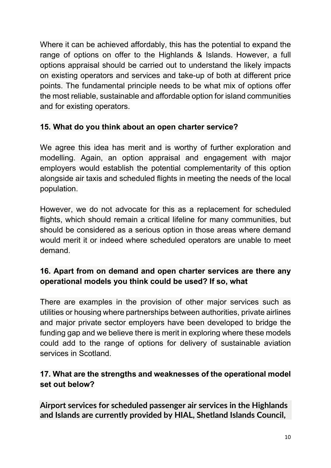Where it can be achieved affordably, this has the potential to expand the range of options on offer to the Highlands & Islands. However, a full options appraisal should be carried out to understand the likely impacts on existing operators and services and take-up of both at different price points. The fundamental principle needs to be what mix of options offer the most reliable, sustainable and affordable option for island communities and for existing operators.

#### 15. What do you think about an open charter service?

We agree this idea has merit and is worthy of further exploration and modelling. Again, an option appraisal and engagement with major employers would establish the potential complementarity of this option alongside air taxis and scheduled flights in meeting the needs of the local population.

However, we do not advocate for this as a replacement for scheduled flights, which should remain a critical lifeline for many communities, but should be considered as a serious option in those areas where demand would merit it or indeed where scheduled operators are unable to meet demand.

## 16. Apart from on demand and open charter services are there any operational models you think could be used? If so, what

There are examples in the provision of other major services such as utilities or housing where partnerships between authorities, private airlines and major private sector employers have been developed to bridge the funding gap and we believe there is merit in exploring where these models could add to the range of options for delivery of sustainable aviation services in Scotland.

#### 17. What are the strengths and weaknesses of the operational model set out below?

Airport services for scheduled passenger air services in the Highlands and Islands are currently provided by HIAL, Shetland Islands Council,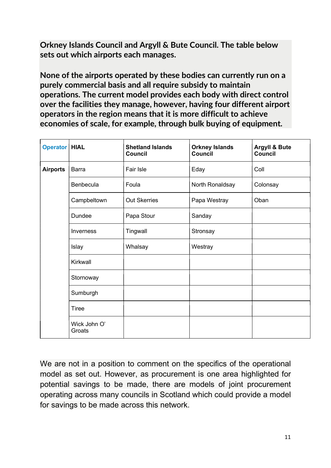Orkney Islands Council and Argyll & Bute Council. The table below sets out which airports each manages.

None of the airports operated by these bodies can currently run on a purely commercial basis and all require subsidy to maintain operations. The current model provides each body with direct control over the facilities they manage, however, having four different airport operators in the region means that it is more difficult to achieve economies of scale, for example, through bulk buying of equipment.

| <b>Operator   HIAL</b> |                        | <b>Shetland Islands</b><br><b>Council</b> | <b>Orkney Islands</b><br><b>Council</b> | <b>Argyll &amp; Bute</b><br><b>Council</b> |
|------------------------|------------------------|-------------------------------------------|-----------------------------------------|--------------------------------------------|
| <b>Airports</b>        | <b>Barra</b>           | Fair Isle                                 | Eday                                    | Coll                                       |
|                        | Benbecula              | Foula                                     | North Ronaldsay                         | Colonsay                                   |
|                        | Campbeltown            | <b>Out Skerries</b>                       | Papa Westray                            | Oban                                       |
|                        | Dundee                 | Papa Stour                                | Sanday                                  |                                            |
|                        | <b>Inverness</b>       | Tingwall                                  | Stronsay                                |                                            |
|                        | Islay                  | Whalsay                                   | Westray                                 |                                            |
|                        | Kirkwall               |                                           |                                         |                                            |
|                        | Stornoway              |                                           |                                         |                                            |
|                        | Sumburgh               |                                           |                                         |                                            |
|                        | <b>Tiree</b>           |                                           |                                         |                                            |
|                        | Wick John O'<br>Groats |                                           |                                         |                                            |

We are not in a position to comment on the specifics of the operational model as set out. However, as procurement is one area highlighted for potential savings to be made, there are models of joint procurement operating across many councils in Scotland which could provide a model for savings to be made across this network.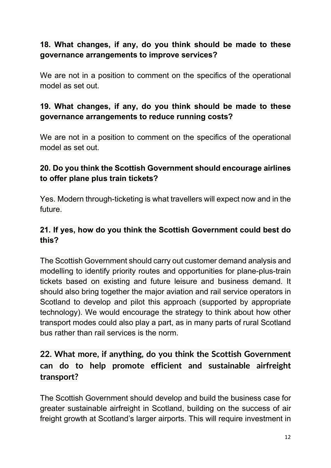## 18. What changes, if any, do you think should be made to these governance arrangements to improve services?

We are not in a position to comment on the specifics of the operational model as set out.

#### 19. What changes, if any, do you think should be made to these governance arrangements to reduce running costs?

We are not in a position to comment on the specifics of the operational model as set out.

### 20. Do you think the Scottish Government should encourage airlines to offer plane plus train tickets?

Yes. Modern through-ticketing is what travellers will expect now and in the future.

#### 21. If yes, how do you think the Scottish Government could best do this?

The Scottish Government should carry out customer demand analysis and modelling to identify priority routes and opportunities for plane-plus-train tickets based on existing and future leisure and business demand. It should also bring together the major aviation and rail service operators in Scotland to develop and pilot this approach (supported by appropriate technology). We would encourage the strategy to think about how other transport modes could also play a part, as in many parts of rural Scotland bus rather than rail services is the norm.

# 22. What more, if anything, do you think the Scottish Government can do to help promote efficient and sustainable airfreight transport?

The Scottish Government should develop and build the business case for greater sustainable airfreight in Scotland, building on the success of air freight growth at Scotland's larger airports. This will require investment in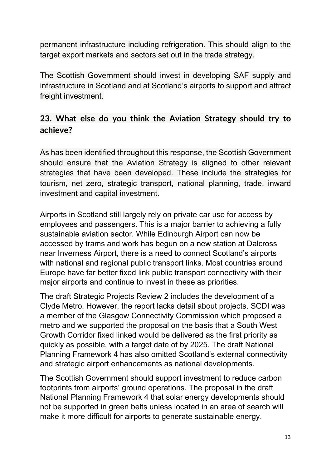permanent infrastructure including refrigeration. This should align to the target export markets and sectors set out in the trade strategy.

The Scottish Government should invest in developing SAF supply and infrastructure in Scotland and at Scotland's airports to support and attract freight investment.

# 23. What else do you think the Aviation Strategy should try to achieve?

As has been identified throughout this response, the Scottish Government should ensure that the Aviation Strategy is aligned to other relevant strategies that have been developed. These include the strategies for tourism, net zero, strategic transport, national planning, trade, inward investment and capital investment.

Airports in Scotland still largely rely on private car use for access by employees and passengers. This is a major barrier to achieving a fully sustainable aviation sector. While Edinburgh Airport can now be accessed by trams and work has begun on a new station at Dalcross near Inverness Airport, there is a need to connect Scotland's airports with national and regional public transport links. Most countries around Europe have far better fixed link public transport connectivity with their major airports and continue to invest in these as priorities.

The draft Strategic Projects Review 2 includes the development of a Clyde Metro. However, the report lacks detail about projects. SCDI was a member of the Glasgow Connectivity Commission which proposed a metro and we supported the proposal on the basis that a South West Growth Corridor fixed linked would be delivered as the first priority as quickly as possible, with a target date of by 2025. The draft National Planning Framework 4 has also omitted Scotland's external connectivity and strategic airport enhancements as national developments.

The Scottish Government should support investment to reduce carbon footprints from airports' ground operations. The proposal in the draft National Planning Framework 4 that solar energy developments should not be supported in green belts unless located in an area of search will make it more difficult for airports to generate sustainable energy.